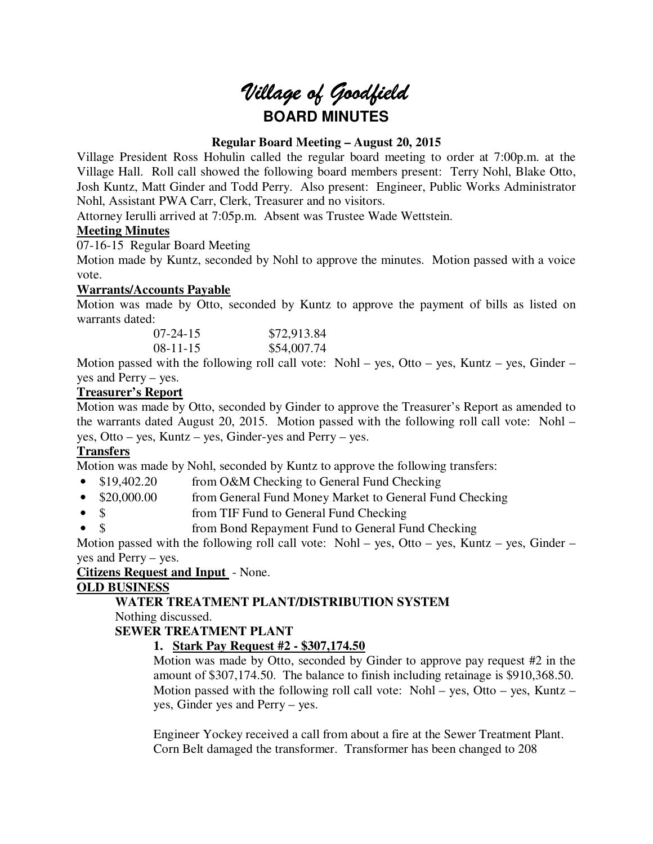# *Village of Goodfield* **BOARD MINUTES**

# **Regular Board Meeting – August 20, 2015**

Village President Ross Hohulin called the regular board meeting to order at 7:00p.m. at the Village Hall. Roll call showed the following board members present: Terry Nohl, Blake Otto, Josh Kuntz, Matt Ginder and Todd Perry. Also present: Engineer, Public Works Administrator Nohl, Assistant PWA Carr, Clerk, Treasurer and no visitors.

Attorney Ierulli arrived at 7:05p.m. Absent was Trustee Wade Wettstein.

# **Meeting Minutes**

07-16-15 Regular Board Meeting

Motion made by Kuntz, seconded by Nohl to approve the minutes. Motion passed with a voice vote.

# **Warrants/Accounts Payable**

Motion was made by Otto, seconded by Kuntz to approve the payment of bills as listed on warrants dated:

| $07 - 24 - 15$ | \$72,913.84 |
|----------------|-------------|
| $08-11-15$     | \$54,007.74 |

Motion passed with the following roll call vote: Nohl – yes, Otto – yes, Kuntz – yes, Ginder – yes and Perry – yes.

# **Treasurer's Report**

Motion was made by Otto, seconded by Ginder to approve the Treasurer's Report as amended to the warrants dated August 20, 2015. Motion passed with the following roll call vote: Nohl – yes, Otto – yes, Kuntz – yes, Ginder-yes and Perry – yes.

# **Transfers**

Motion was made by Nohl, seconded by Kuntz to approve the following transfers:

- \$19,402.20 from O&M Checking to General Fund Checking
- \$20,000.00 from General Fund Money Market to General Fund Checking
- \$ from TIF Fund to General Fund Checking
- \$ from Bond Repayment Fund to General Fund Checking

Motion passed with the following roll call vote: Nohl – yes, Otto – yes, Kuntz – yes, Ginder – yes and Perry – yes.

# **Citizens Request and Input** - None.

# **OLD BUSINESS**

# **WATER TREATMENT PLANT/DISTRIBUTION SYSTEM**

Nothing discussed.

**SEWER TREATMENT PLANT** 

# **1. Stark Pay Request #2 - \$307,174.50**

Motion was made by Otto, seconded by Ginder to approve pay request #2 in the amount of \$307,174.50. The balance to finish including retainage is \$910,368.50. Motion passed with the following roll call vote: Nohl – yes, Otto – yes, Kuntz – yes, Ginder yes and Perry – yes.

Engineer Yockey received a call from about a fire at the Sewer Treatment Plant. Corn Belt damaged the transformer. Transformer has been changed to 208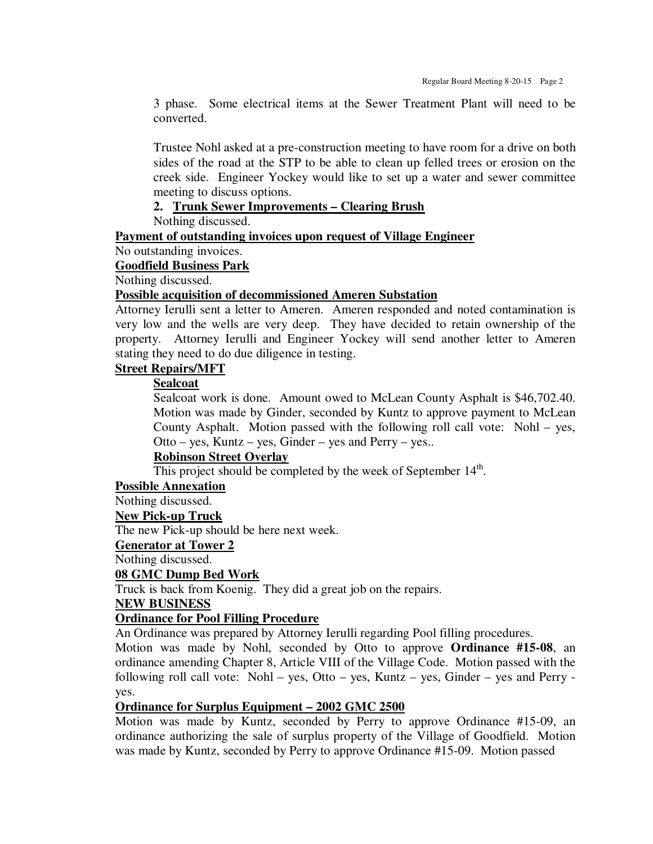3 phase. Some electrical items at the Sewer Treatment Plant will need to be converted.

Trustee Nohl asked at a pre-construction meeting to have room for a drive on both sides of the road at the STP to be able to clean up felled trees or erosion on the creek side. Engineer Yockey would like to set up a water and sewer committee meeting to discuss options.

# **2. Trunk Sewer Improvements – Clearing Brush**

Nothing discussed.

**Payment of outstanding invoices upon request of Village Engineer** 

No outstanding invoices.

# **Goodfield Business Park**

Nothing discussed.

#### **Possible acquisition of decommissioned Ameren Substation**

Attorney Ierulli sent a letter to Ameren. Ameren responded and noted contamination is very low and the wells are very deep. They have decided to retain ownership of the property. Attorney Ierulli and Engineer Yockey will send another letter to Ameren stating they need to do due diligence in testing.

# **Street Repairs/MFT**

## **Sealcoat**

Sealcoat work is done. Amount owed to McLean County Asphalt is \$46,702.40. Motion was made by Ginder, seconded by Kuntz to approve payment to McLean County Asphalt. Motion passed with the following roll call vote: Nohl – yes, Otto – yes, Kuntz – yes, Ginder – yes and Perry – yes..

# **Robinson Street Overlay**

This project should be completed by the week of September 14<sup>th</sup>.

**Possible Annexation** 

Nothing discussed.

### **New Pick-up Truck**

The new Pick-up should be here next week.

### **Generator at Tower 2**

Nothing discussed.

### **08 GMC Dump Bed Work**

Truck is back from Koenig. They did a great job on the repairs.

## **NEW BUSINESS**

### **Ordinance for Pool Filling Procedure**

An Ordinance was prepared by Attorney Ierulli regarding Pool filling procedures.

Motion was made by Nohl, seconded by Otto to approve **Ordinance #15-08**, an ordinance amending Chapter 8, Article VIII of the Village Code. Motion passed with the following roll call vote: Nohl – yes, Otto – yes, Kuntz – yes, Ginder – yes and Perry yes.

## **Ordinance for Surplus Equipment – 2002 GMC 2500**

Motion was made by Kuntz, seconded by Perry to approve Ordinance #15-09, an ordinance authorizing the sale of surplus property of the Village of Goodfield. Motion was made by Kuntz, seconded by Perry to approve Ordinance #15-09. Motion passed